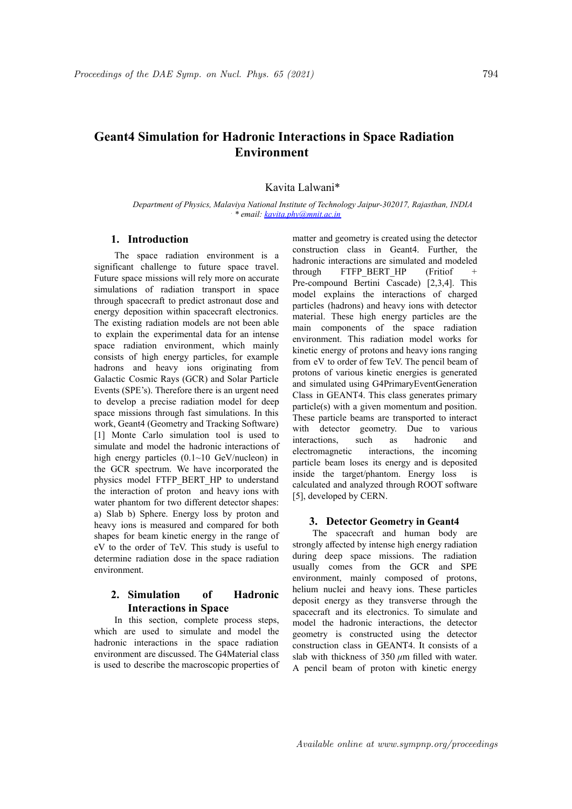# **Geant4 Simulation for Hadronic Interactions in Space Radiation Environment**

Kavita Lalwani\*

*Department of Physics, Malaviya National Institute of Technology Jaipur-302017, Rajasthan, INDIA . \* email: kavita.phy@mnit.ac.in*

### **1. Introduction**

The space radiation environment is a significant challenge to future space travel. Future space missions will rely more on accurate simulations of radiation transport in space through spacecraft to predict astronaut dose and energy deposition within spacecraft electronics. The existing radiation models are not been able to explain the experimental data for an intense space radiation environment, which mainly consists of high energy particles, for example hadrons and heavy ions originating from Galactic Cosmic Rays (GCR) and Solar Particle Events (SPE's). Therefore there is an urgent need to develop a precise radiation model for deep space missions through fast simulations. In this work, Geant4 (Geometry and Tracking Software) [1] Monte Carlo simulation tool is used to simulate and model the hadronic interactions of high energy particles  $(0.1~10~\text{GeV/nucleon})$  in the GCR spectrum. We have incorporated the physics model FTFP\_BERT\_HP to understand the interaction of proton and heavy ions with water phantom for two different detector shapes: a) Slab b) Sphere. Energy loss by proton and heavy ions is measured and compared for both shapes for beam kinetic energy in the range of eV to the order of TeV. This study is useful to determine radiation dose in the space radiation environment.

# **2. Simulation of Hadronic Interactions in Space**

In this section, complete process steps, which are used to simulate and model the hadronic interactions in the space radiation environment are discussed. The G4Material class is used to describe the macroscopic properties of matter and geometry is created using the detector construction class in Geant4. Further, the hadronic interactions are simulated and modeled through FTFP BERT HP (Fritiof  $+$ Pre-compound Bertini Cascade) [2,3,4]. This model explains the interactions of charged particles (hadrons) and heavy ions with detector material. These high energy particles are the main components of the space radiation environment. This radiation model works for kinetic energy of protons and heavy ions ranging from eV to order of few TeV. The pencil beam of protons of various kinetic energies is generated and simulated using G4PrimaryEventGeneration Class in GEANT4. This class generates primary particle(s) with a given momentum and position. These particle beams are transported to interact with detector geometry. Due to various interactions, such as hadronic and electromagnetic interactions, the incoming particle beam loses its energy and is deposited inside the target/phantom. Energy loss is calculated and analyzed through ROOT software [5], developed by CERN.

#### **3. Detector Geometry in Geant4**

The spacecraft and human body are strongly affected by intense high energy radiation<br>during deep space missions. The radiation<br>usually comes from the GCR and SPE<br>environment mainly composed of protons during deep space missions. The radiation usually comes from the GCR and SPE environment, mainly composed of protons, helium nuclei and heavy ions. These particles deposit energy as they transverse through the spacecraft and its electronics. To simulate and model the hadronic interactions, the detector geometry is constructed using the detector construction class in GEANT4. It consists of a slab with thickness of  $350 \mu m$  filled with water. slab with thickness of  $350 \mu m$  filled with water.<br>A pencil beam of proton with kinetic energy A pencil beam of proton with kinetic energy